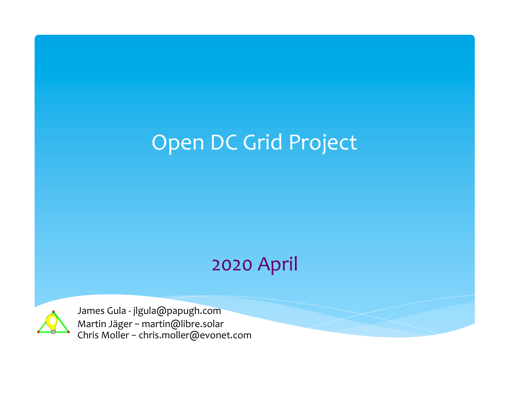### Open DC Grid Project

### 2020 April



James Gula - jlgula@papugh.com Martin Jäger - martin@libre.solar Chris Moller - chris.moller@evonet.com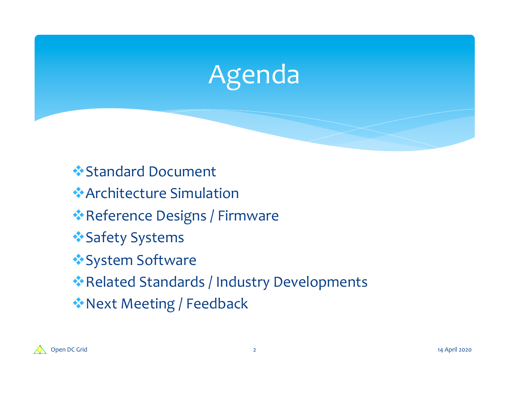

**Example Follow Standard Document** \*Architecture Simulation

\*Reference Designs / Firmware

- \*Safety Systems
- \*System Software

\*Related Standards / Industry Developments

**Ext Meeting / Feedback** 

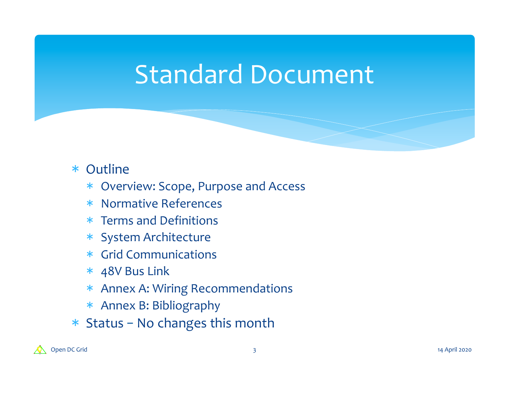## Standard Document

### \* Outline

- \* Overview: Scope, Purpose and Access
- \* Normative References
- $*$  Terms and Definitions
- \* System Architecture
- \* Grid Communications
- $*$  48V Bus Link
- \* Annex A: Wiring Recommendations
- \* Annex B: Bibliography
- $*$  Status No changes this month

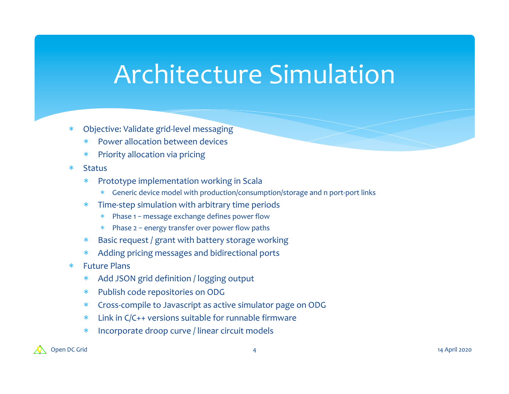## **Architecture Simulation**

- \* Objective: Validate grid-level messaging
	- Power allocation between devices
	- Priority allocation via pricing
- \* Status
	- Prototype implementation working in Scala
		- \* Generic device model with production/consumption/storage and n port-port links
	- $*$  Time-step simulation with arbitrary time periods
		- Phase  $1$  message exchange defines power flow
		- $*$  Phase 2 energy transfer over power flow paths
	- $*$  Basic request / grant with battery storage working
	- \* Adding pricing messages and bidirectional ports
- \* Future Plans
	- \* Add JSON grid definition / logging output
	- \* Publish code repositories on ODG
	- \* Cross-compile to Javascript as active simulator page on ODG
	- $*$  Link in C/C++ versions suitable for runnable firmware
	- \* Incorporate droop curve / linear circuit models

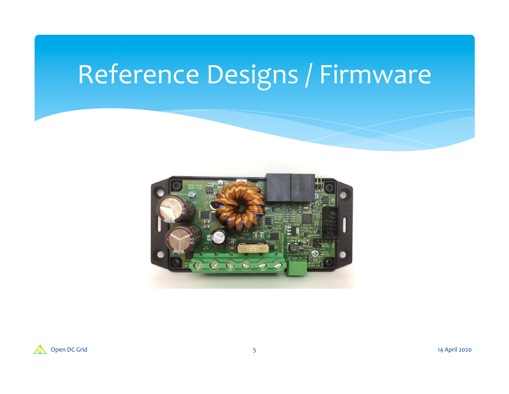# Reference Designs / Firmware



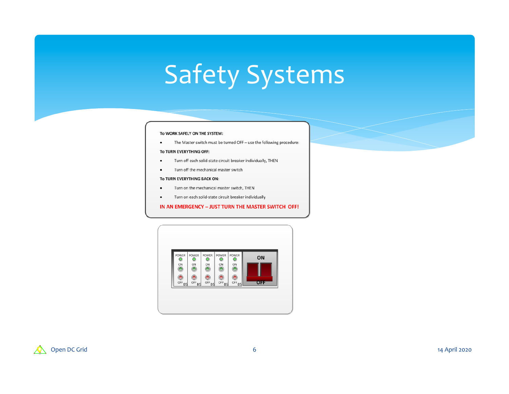# Safety Systems

#### To WORK SAFELY ON THE SYSTEM:

The Master switch must be turned OFF - use the following procedure:  $\bullet$ 

#### To TURN EVERYTHING OFF:

- Turn off each solid-state circuit breaker individually, THEN  $\bullet$
- Turn off the mechanical master switch  $\bullet$

#### To TURN EVERYTHING BACK ON:

- Turn on the mechanical master switch, THEN
- Turn on each solid-state circuit breaker individually

#### IN AN EMERGENCY - JUST TURN THE MASTER SWITCH OFF!



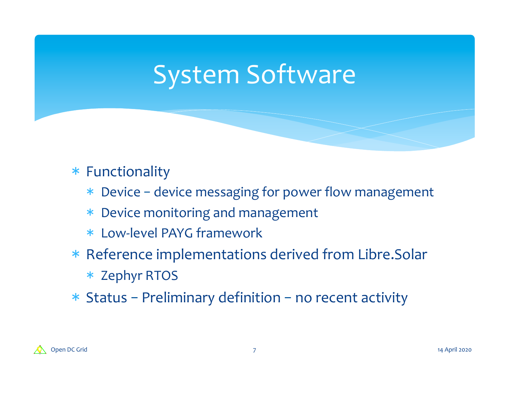## System Software

### \* Functionality

- \* Device device messaging for power flow management
- \* Device monitoring and management
- \* Low-level PAYG framework
- \* Reference implementations derived from Libre.Solar
	- \* Zephyr RTOS
- $*$  Status Preliminary definition no recent activity

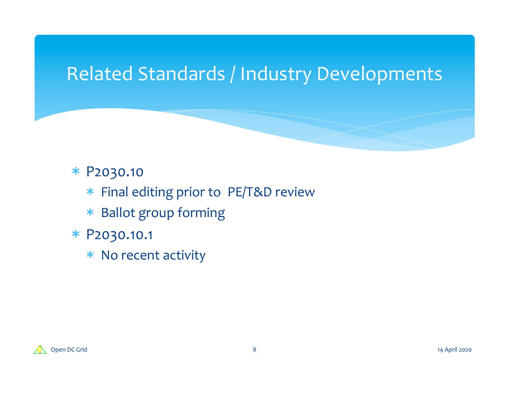### Related Standards / Industry Developments

### \* P2030.10

- \* Final editing prior to PE/T&D review
- \* Ballot group forming
- \* P2030.10.1
	- \* No recent activity